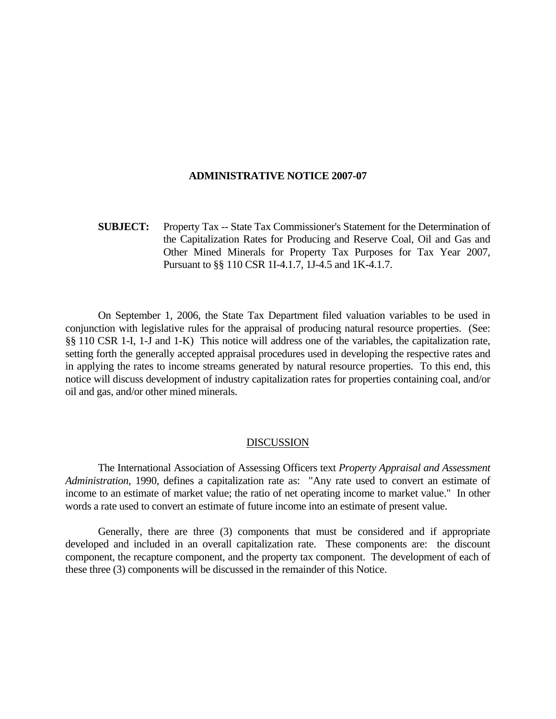### **ADMINISTRATIVE NOTICE 2007-07**

**SUBJECT:** Property Tax -- State Tax Commissioner's Statement for the Determination of the Capitalization Rates for Producing and Reserve Coal, Oil and Gas and Other Mined Minerals for Property Tax Purposes for Tax Year 2007, Pursuant to §§ 110 CSR 1I-4.1.7, 1J-4.5 and 1K-4.1.7.

 On September 1, 2006, the State Tax Department filed valuation variables to be used in conjunction with legislative rules for the appraisal of producing natural resource properties. (See: §§ 110 CSR 1-I, 1-J and 1-K) This notice will address one of the variables, the capitalization rate, setting forth the generally accepted appraisal procedures used in developing the respective rates and in applying the rates to income streams generated by natural resource properties. To this end, this notice will discuss development of industry capitalization rates for properties containing coal, and/or oil and gas, and/or other mined minerals.

### DISCUSSION

 The International Association of Assessing Officers text *Property Appraisal and Assessment Administration*, 1990, defines a capitalization rate as: "Any rate used to convert an estimate of income to an estimate of market value; the ratio of net operating income to market value." In other words a rate used to convert an estimate of future income into an estimate of present value.

 Generally, there are three (3) components that must be considered and if appropriate developed and included in an overall capitalization rate. These components are: the discount component, the recapture component, and the property tax component. The development of each of these three (3) components will be discussed in the remainder of this Notice.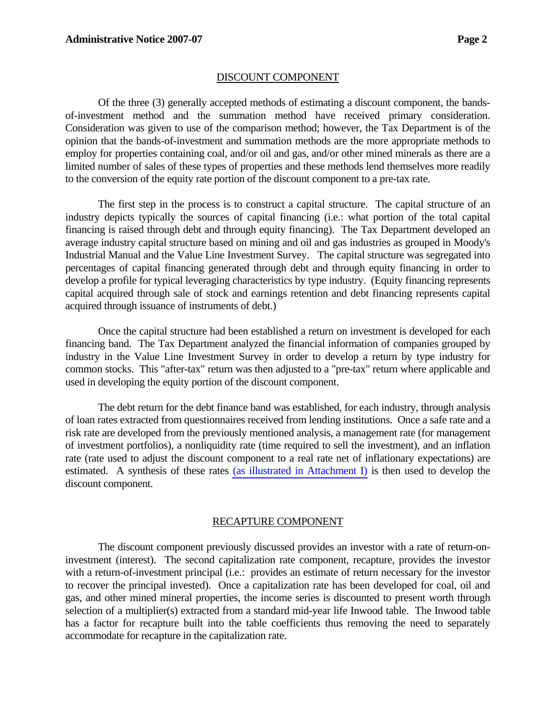## DISCOUNT COMPONENT

 Of the three (3) generally accepted methods of estimating a discount component, the bandsof-investment method and the summation method have received primary consideration. Consideration was given to use of the comparison method; however, the Tax Department is of the opinion that the bands-of-investment and summation methods are the more appropriate methods to employ for properties containing coal, and/or oil and gas, and/or other mined minerals as there are a limited number of sales of these types of properties and these methods lend themselves more readily to the conversion of the equity rate portion of the discount component to a pre-tax rate.

 The first step in the process is to construct a capital structure. The capital structure of an industry depicts typically the sources of capital financing (i.e.: what portion of the total capital financing is raised through debt and through equity financing). The Tax Department developed an average industry capital structure based on mining and oil and gas industries as grouped in Moody's Industrial Manual and the Value Line Investment Survey. The capital structure was segregated into percentages of capital financing generated through debt and through equity financing in order to develop a profile for typical leveraging characteristics by type industry. (Equity financing represents capital acquired through sale of stock and earnings retention and debt financing represents capital acquired through issuance of instruments of debt.)

 Once the capital structure had been established a return on investment is developed for each financing band. The Tax Department analyzed the financial information of companies grouped by industry in the Value Line Investment Survey in order to develop a return by type industry for common stocks. This "after-tax" return was then adjusted to a "pre-tax" return where applicable and used in developing the equity portion of the discount component.

 The debt return for the debt finance band was established, for each industry, through analysis of loan rates extracted from questionnaires received from lending institutions. Once a safe rate and a risk rate are developed from the previously mentioned analysis, a management rate (for management of investment portfolios), a nonliquidity rate (time required to sell the investment), and an inflation rate (rate used to adjust the discount component to a real rate net of inflationary expectations) are estimated. A synthesis of these rates (as illustrated in Attachment I) is then used to develop the discount component.

## RECAPTURE COMPONENT

 The discount component previously discussed provides an investor with a rate of return-oninvestment (interest). The second capitalization rate component, recapture, provides the investor with a return-of-investment principal (i.e.: provides an estimate of return necessary for the investor to recover the principal invested). Once a capitalization rate has been developed for coal, oil and gas, and other mined mineral properties, the income series is discounted to present worth through selection of a multiplier(s) extracted from a standard mid-year life Inwood table. The Inwood table has a factor for recapture built into the table coefficients thus removing the need to separately accommodate for recapture in the capitalization rate.